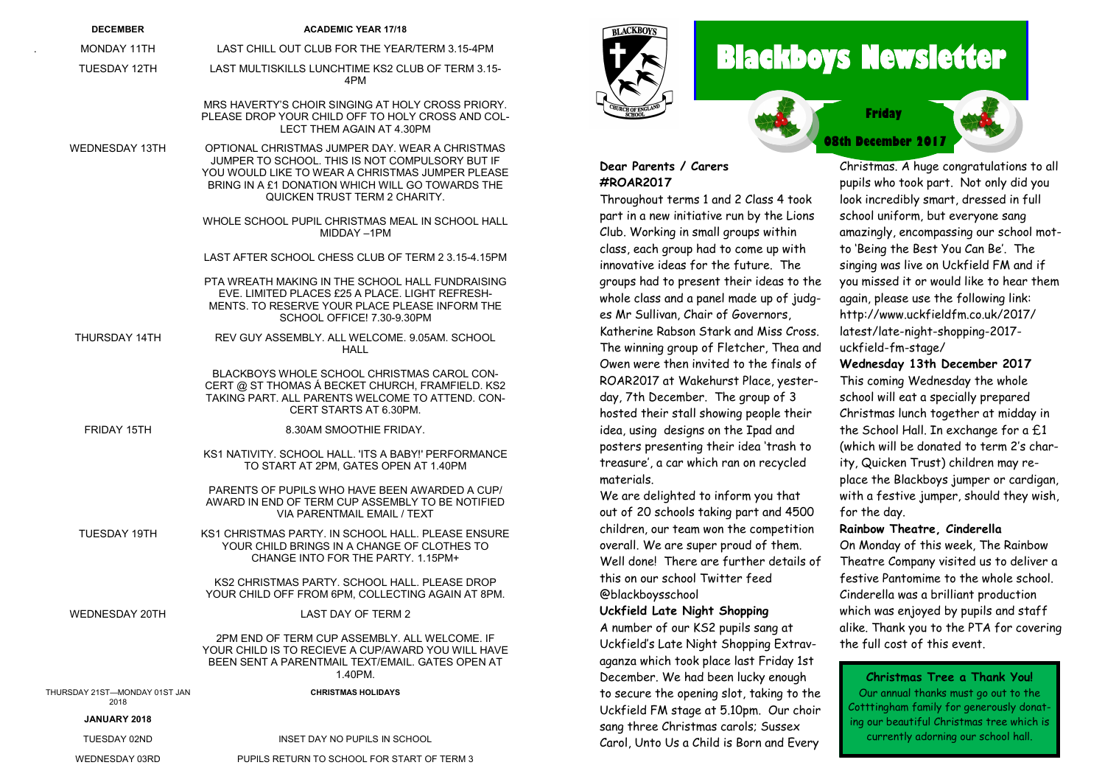| <b>DECEMBER</b>                       | <b>ACADEMIC YEAR 17/18</b>                                                                                                                                                                                                                         |                     |
|---------------------------------------|----------------------------------------------------------------------------------------------------------------------------------------------------------------------------------------------------------------------------------------------------|---------------------|
| MONDAY 11TH                           | LAST CHILL OUT CLUB FOR THE YEAR/TERM 3.15-4PM                                                                                                                                                                                                     |                     |
| TUESDAY 12TH                          | LAST MULTISKILLS LUNCHTIME KS2 CLUB OF TERM 3.15-<br>4PM                                                                                                                                                                                           |                     |
|                                       | MRS HAVERTY'S CHOIR SINGING AT HOLY CROSS PRIORY.<br>PLEASE DROP YOUR CHILD OFF TO HOLY CROSS AND COL-<br>LECT THEM AGAIN AT 4.30PM                                                                                                                | ₹                   |
| <b>WEDNESDAY 13TH</b>                 | OPTIONAL CHRISTMAS JUMPER DAY, WEAR A CHRISTMAS<br>JUMPER TO SCHOOL. THIS IS NOT COMPULSORY BUT IF<br>YOU WOULD LIKE TO WEAR A CHRISTMAS JUMPER PLEASE<br>BRING IN A £1 DONATION WHICH WILL GO TOWARDS THE<br><b>QUICKEN TRUST TERM 2 CHARITY.</b> | D<br>#<br>T         |
|                                       | WHOLE SCHOOL PUPIL CHRISTMAS MEAL IN SCHOOL HALL<br>MIDDAY-1PM                                                                                                                                                                                     | po<br>$\mathcal{C}$ |
|                                       | LAST AFTER SCHOOL CHESS CLUB OF TERM 2 3.15-4.15PM                                                                                                                                                                                                 | cl<br>in            |
|                                       | PTA WREATH MAKING IN THE SCHOOL HALL FUNDRAISING<br>EVE. LIMITED PLACES £25 A PLACE. LIGHT REFRESH-<br>MENTS. TO RESERVE YOUR PLACE PLEASE INFORM THE<br>SCHOOL OFFICE! 7.30-9.30PM                                                                | gr<br>w<br>еs       |
| THURSDAY 14TH                         | REV GUY ASSEMBLY. ALL WELCOME. 9.05AM. SCHOOL<br><b>HALL</b>                                                                                                                                                                                       | K<br>T              |
|                                       | BLACKBOYS WHOLE SCHOOL CHRISTMAS CAROL CON-<br>CERT @ ST THOMAS A BECKET CHURCH, FRAMFIELD. KS2<br>TAKING PART, ALL PARENTS WELCOME TO ATTEND, CON-<br>CERT STARTS AT 6.30PM.                                                                      | O<br>R(<br>do<br>h٥ |
| FRIDAY 15TH                           | 8.30AM SMOOTHIE FRIDAY.                                                                                                                                                                                                                            | id                  |
|                                       | KS1 NATIVITY, SCHOOL HALL, 'ITS A BABY!' PERFORMANCE<br>TO START AT 2PM, GATES OPEN AT 1.40PM                                                                                                                                                      | po<br>tr            |
|                                       | PARENTS OF PUPILS WHO HAVE BEEN AWARDED A CUP/<br>AWARD IN END OF TERM CUP ASSEMBLY TO BE NOTIFIED<br>VIA PARENTMAIL EMAIL / TEXT                                                                                                                  | m<br>w<br>Οl        |
| <b>TUESDAY 19TH</b>                   | KS1 CHRISTMAS PARTY. IN SCHOOL HALL, PLEASE ENSURE<br>YOUR CHILD BRINGS IN A CHANGE OF CLOTHES TO<br>CHANGE INTO FOR THE PARTY, 1.15PM+                                                                                                            | cł<br>о١<br>W       |
|                                       | KS2 CHRISTMAS PARTY, SCHOOL HALL, PLEASE DROP<br>YOUR CHILD OFF FROM 6PM, COLLECTING AGAIN AT 8PM.                                                                                                                                                 | tł<br>@             |
| <b>WEDNESDAY 20TH</b>                 | <b>LAST DAY OF TERM 2</b>                                                                                                                                                                                                                          | U.                  |
|                                       | 2PM END OF TERM CUP ASSEMBLY, ALL WELCOME, IF<br>YOUR CHILD IS TO RECIEVE A CUP/AWARD YOU WILL HAVE<br>BEEN SENT A PARENTMAIL TEXT/EMAIL. GATES OPEN AT<br>1.40PM.                                                                                 | A<br>U<br>α<br>D.   |
| THURSDAY 21ST-MONDAY 01ST JAN<br>2018 | <b>CHRISTMAS HOLIDAYS</b>                                                                                                                                                                                                                          | tc                  |
| JANUARY 2018                          |                                                                                                                                                                                                                                                    | U                   |
| TUESDAY 02ND                          | INSET DAY NO PUPILS IN SCHOOL                                                                                                                                                                                                                      | SC<br>Cо            |
| WEDNESDAY 03RD                        | PUPILS RETURN TO SCHOOL FOR START OF TERM 3                                                                                                                                                                                                        |                     |

.

# **ALACKBOVS**

## **Blackboys Newsletter**

**08th December 2017** 

**Friday**

#### **Dear Parents / Carers #ROAR2017**

Throughout terms 1 and 2 Class 4 took part in a new initiative run by the Lions lub. Working in small groups within lass, each group had to come up with innovative ideas for the future. The groups had to present their ideas to the whole class and a panel made up of judgs Mr Sullivan, Chair of Governors, atherine Rabson Stark and Miss Cross. The winning group of Fletcher, Thea and )wen were then invited to the finals of OAR2017 at Wakehurst Place, yesterlay, 7th December. The group of 3 osted their stall showing people their lea, using designs on the Ipad and posters presenting their idea 'trash to treasure', a car which ran on recycled materials.

We are delighted to inform you that out of 20 schools taking part and 4500 hildren, our team won the competition verall. We are super proud of them. Well done! There are further details of his on our school Twitter feed blackboysschool

#### **Uckfield Late Night Shopping**

number of our KS2 pupils sang at Uckfield's Late Night Shopping Extravaganza which took place last Friday 1st ecember. We had been lucky enough o secure the opening slot, taking to the Uckfield FM stage at 5.10pm. Our choir ang three Christmas carols; Sussex Carol, Unto Us a Child is Born and Every

Christmas. A huge congratulations to all pupils who took part. Not only did you look incredibly smart, dressed in full school uniform, but everyone sang amazingly, encompassing our school motto 'Being the Best You Can Be'. The singing was live on Uckfield FM and if you missed it or would like to hear them again, please use the following link: http://www.uckfieldfm.co.uk/2017/ latest/late-night-shopping-2017 uckfield-fm-stage/

#### **Wednesday 13th December 2017**

This coming Wednesday the whole school will eat a specially prepared Christmas lunch together at midday in the School Hall. In exchange for a £1 (which will be donated to term 2's charity, Quicken Trust) children may replace the Blackboys jumper or cardigan, with a festive jumper, should they wish, for the day.

#### **Rainbow Theatre, Cinderella**

On Monday of this week, The Rainbow Theatre Company visited us to deliver a festive Pantomime to the whole school. Cinderella was a brilliant production which was enjoyed by pupils and staff alike. Thank you to the PTA for covering the full cost of this event.

**Christmas Tree a Thank You!** Our annual thanks must go out to the Cotttingham family for generously donating our beautiful Christmas tree which is currently adorning our school hall.